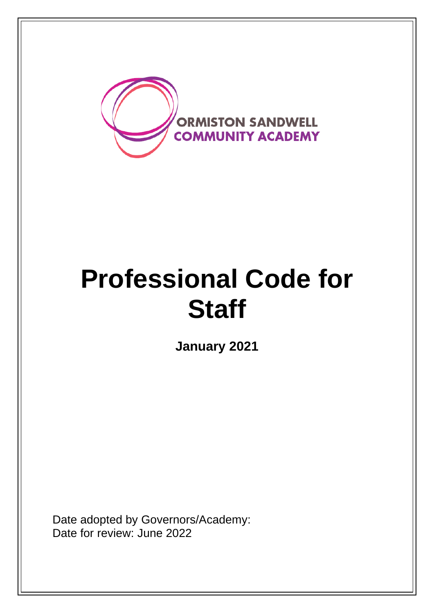

# **Professional Code for Staff**

**January 2021**

Date adopted by Governors/Academy: Date for review: June 2022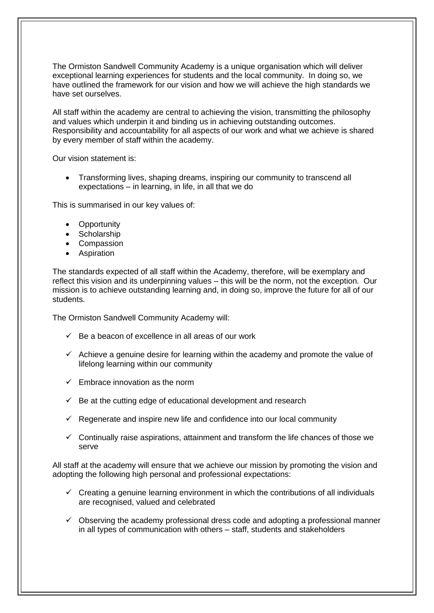The Ormiston Sandwell Community Academy is a unique organisation which will deliver exceptional learning experiences for students and the local community. In doing so, we have outlined the framework for our vision and how we will achieve the high standards we have set ourselves.

All staff within the academy are central to achieving the vision, transmitting the philosophy and values which underpin it and binding us in achieving outstanding outcomes. Responsibility and accountability for all aspects of our work and what we achieve is shared by every member of staff within the academy.

Our vision statement is:

• Transforming lives, shaping dreams, inspiring our community to transcend all expectations – in learning, in life, in all that we do

This is summarised in our key values of:

- Opportunity
- Scholarship
- Compassion
- Aspiration

The standards expected of all staff within the Academy, therefore, will be exemplary and reflect this vision and its underpinning values – this will be the norm, not the exception. Our mission is to achieve outstanding learning and, in doing so, improve the future for all of our students.

The Ormiston Sandwell Community Academy will:

- $\checkmark$  Be a beacon of excellence in all areas of our work
- $\checkmark$  Achieve a genuine desire for learning within the academy and promote the value of lifelong learning within our community
- $\checkmark$  Embrace innovation as the norm
- $\checkmark$  Be at the cutting edge of educational development and research
- $\checkmark$  Regenerate and inspire new life and confidence into our local community
- ✓ Continually raise aspirations, attainment and transform the life chances of those we serve

All staff at the academy will ensure that we achieve our mission by promoting the vision and adopting the following high personal and professional expectations:

- $\checkmark$  Creating a genuine learning environment in which the contributions of all individuals are recognised, valued and celebrated
- $\checkmark$  Observing the academy professional dress code and adopting a professional manner in all types of communication with others – staff, students and stakeholders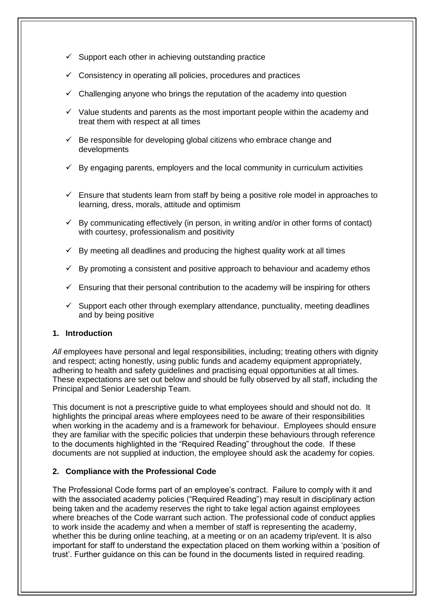- $\checkmark$  Support each other in achieving outstanding practice
- $\checkmark$  Consistency in operating all policies, procedures and practices
- Challenging anyone who brings the reputation of the academy into question
- $\checkmark$  Value students and parents as the most important people within the academy and treat them with respect at all times
- $\checkmark$  Be responsible for developing global citizens who embrace change and developments
- $\checkmark$  By engaging parents, employers and the local community in curriculum activities
- $\checkmark$  Ensure that students learn from staff by being a positive role model in approaches to learning, dress, morals, attitude and optimism
- $\checkmark$  By communicating effectively (in person, in writing and/or in other forms of contact) with courtesy, professionalism and positivity
- By meeting all deadlines and producing the highest quality work at all times
- $\checkmark$  By promoting a consistent and positive approach to behaviour and academy ethos
- $\checkmark$  Ensuring that their personal contribution to the academy will be inspiring for others
- $\checkmark$  Support each other through exemplary attendance, punctuality, meeting deadlines and by being positive

# **1. Introduction**

All employees have personal and legal responsibilities, including; treating others with dignity and respect; acting honestly, using public funds and academy equipment appropriately, adhering to health and safety guidelines and practising equal opportunities at all times. These expectations are set out below and should be fully observed by all staff, including the Principal and Senior Leadership Team.

This document is not a prescriptive guide to what employees should and should not do. It highlights the principal areas where employees need to be aware of their responsibilities when working in the academy and is a framework for behaviour. Employees should ensure they are familiar with the specific policies that underpin these behaviours through reference to the documents highlighted in the "Required Reading" throughout the code. If these documents are not supplied at induction, the employee should ask the academy for copies.

# **2. Compliance with the Professional Code**

The Professional Code forms part of an employee's contract. Failure to comply with it and with the associated academy policies ("Required Reading") may result in disciplinary action being taken and the academy reserves the right to take legal action against employees where breaches of the Code warrant such action. The professional code of conduct applies to work inside the academy and when a member of staff is representing the academy, whether this be during online teaching, at a meeting or on an academy trip/event. It is also important for staff to understand the expectation placed on them working within a 'position of trust'. Further guidance on this can be found in the documents listed in required reading.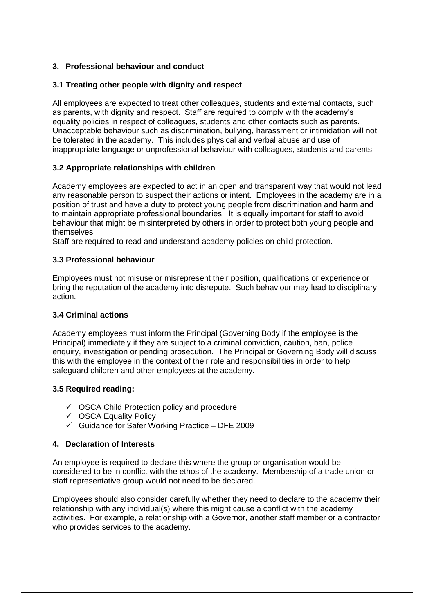# **3. Professional behaviour and conduct**

# **3.1 Treating other people with dignity and respect**

All employees are expected to treat other colleagues, students and external contacts, such as parents, with dignity and respect. Staff are required to comply with the academy's equality policies in respect of colleagues, students and other contacts such as parents. Unacceptable behaviour such as discrimination, bullying, harassment or intimidation will not be tolerated in the academy. This includes physical and verbal abuse and use of inappropriate language or unprofessional behaviour with colleagues, students and parents.

# **3.2 Appropriate relationships with children**

Academy employees are expected to act in an open and transparent way that would not lead any reasonable person to suspect their actions or intent. Employees in the academy are in a position of trust and have a duty to protect young people from discrimination and harm and to maintain appropriate professional boundaries. It is equally important for staff to avoid behaviour that might be misinterpreted by others in order to protect both young people and themselves.

Staff are required to read and understand academy policies on child protection.

# **3.3 Professional behaviour**

Employees must not misuse or misrepresent their position, qualifications or experience or bring the reputation of the academy into disrepute. Such behaviour may lead to disciplinary action.

# **3.4 Criminal actions**

Academy employees must inform the Principal (Governing Body if the employee is the Principal) immediately if they are subject to a criminal conviction, caution, ban, police enquiry, investigation or pending prosecution. The Principal or Governing Body will discuss this with the employee in the context of their role and responsibilities in order to help safeguard children and other employees at the academy.

# **3.5 Required reading:**

- $\checkmark$  OSCA Child Protection policy and procedure
- ✓ OSCA Equality Policy
- $\checkmark$  Guidance for Safer Working Practice DFE 2009

# **4. Declaration of Interests**

An employee is required to declare this where the group or organisation would be considered to be in conflict with the ethos of the academy. Membership of a trade union or staff representative group would not need to be declared.

Employees should also consider carefully whether they need to declare to the academy their relationship with any individual(s) where this might cause a conflict with the academy activities. For example, a relationship with a Governor, another staff member or a contractor who provides services to the academy.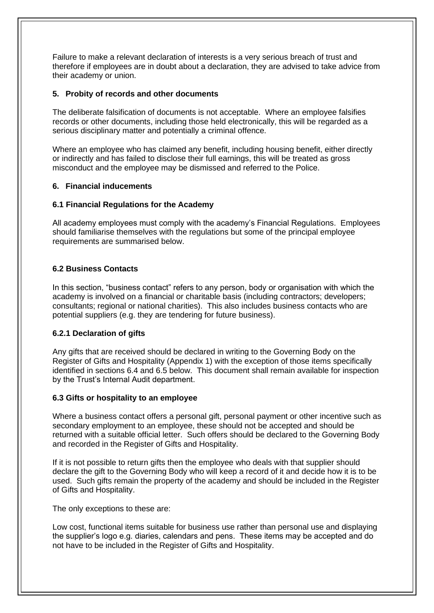Failure to make a relevant declaration of interests is a very serious breach of trust and therefore if employees are in doubt about a declaration, they are advised to take advice from their academy or union.

# **5. Probity of records and other documents**

The deliberate falsification of documents is not acceptable. Where an employee falsifies records or other documents, including those held electronically, this will be regarded as a serious disciplinary matter and potentially a criminal offence.

Where an employee who has claimed any benefit, including housing benefit, either directly or indirectly and has failed to disclose their full earnings, this will be treated as gross misconduct and the employee may be dismissed and referred to the Police.

# **6. Financial inducements**

# **6.1 Financial Regulations for the Academy**

All academy employees must comply with the academy's Financial Regulations. Employees should familiarise themselves with the regulations but some of the principal employee requirements are summarised below.

# **6.2 Business Contacts**

In this section, "business contact" refers to any person, body or organisation with which the academy is involved on a financial or charitable basis (including contractors; developers; consultants; regional or national charities). This also includes business contacts who are potential suppliers (e.g. they are tendering for future business).

# **6.2.1 Declaration of gifts**

Any gifts that are received should be declared in writing to the Governing Body on the Register of Gifts and Hospitality (Appendix 1) with the exception of those items specifically identified in sections 6.4 and 6.5 below. This document shall remain available for inspection by the Trust's Internal Audit department.

# **6.3 Gifts or hospitality to an employee**

Where a business contact offers a personal gift, personal payment or other incentive such as secondary employment to an employee, these should not be accepted and should be returned with a suitable official letter. Such offers should be declared to the Governing Body and recorded in the Register of Gifts and Hospitality.

If it is not possible to return gifts then the employee who deals with that supplier should declare the gift to the Governing Body who will keep a record of it and decide how it is to be used. Such gifts remain the property of the academy and should be included in the Register of Gifts and Hospitality.

The only exceptions to these are:

Low cost, functional items suitable for business use rather than personal use and displaying the supplier's logo e.g. diaries, calendars and pens. These items may be accepted and do not have to be included in the Register of Gifts and Hospitality.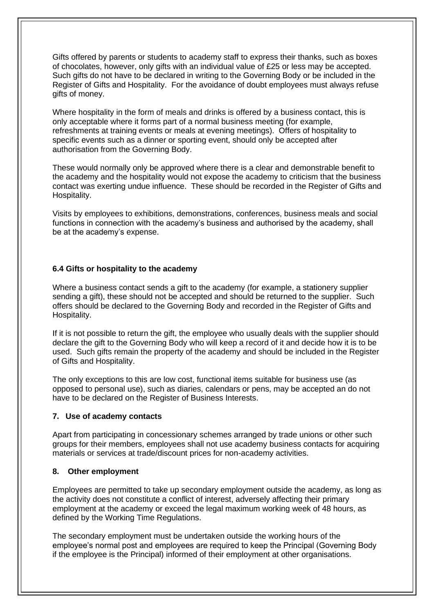Gifts offered by parents or students to academy staff to express their thanks, such as boxes of chocolates, however, only gifts with an individual value of £25 or less may be accepted. Such gifts do not have to be declared in writing to the Governing Body or be included in the Register of Gifts and Hospitality. For the avoidance of doubt employees must always refuse gifts of money.

Where hospitality in the form of meals and drinks is offered by a business contact, this is only acceptable where it forms part of a normal business meeting (for example, refreshments at training events or meals at evening meetings). Offers of hospitality to specific events such as a dinner or sporting event, should only be accepted after authorisation from the Governing Body.

These would normally only be approved where there is a clear and demonstrable benefit to the academy and the hospitality would not expose the academy to criticism that the business contact was exerting undue influence. These should be recorded in the Register of Gifts and Hospitality.

Visits by employees to exhibitions, demonstrations, conferences, business meals and social functions in connection with the academy's business and authorised by the academy, shall be at the academy's expense.

#### **6.4 Gifts or hospitality to the academy**

Where a business contact sends a gift to the academy (for example, a stationery supplier sending a gift), these should not be accepted and should be returned to the supplier. Such offers should be declared to the Governing Body and recorded in the Register of Gifts and Hospitality.

If it is not possible to return the gift, the employee who usually deals with the supplier should declare the gift to the Governing Body who will keep a record of it and decide how it is to be used. Such gifts remain the property of the academy and should be included in the Register of Gifts and Hospitality.

The only exceptions to this are low cost, functional items suitable for business use (as opposed to personal use), such as diaries, calendars or pens, may be accepted an do not have to be declared on the Register of Business Interests.

#### **7. Use of academy contacts**

Apart from participating in concessionary schemes arranged by trade unions or other such groups for their members, employees shall not use academy business contacts for acquiring materials or services at trade/discount prices for non-academy activities.

#### **8. Other employment**

Employees are permitted to take up secondary employment outside the academy, as long as the activity does not constitute a conflict of interest, adversely affecting their primary employment at the academy or exceed the legal maximum working week of 48 hours, as defined by the Working Time Regulations.

The secondary employment must be undertaken outside the working hours of the employee's normal post and employees are required to keep the Principal (Governing Body if the employee is the Principal) informed of their employment at other organisations.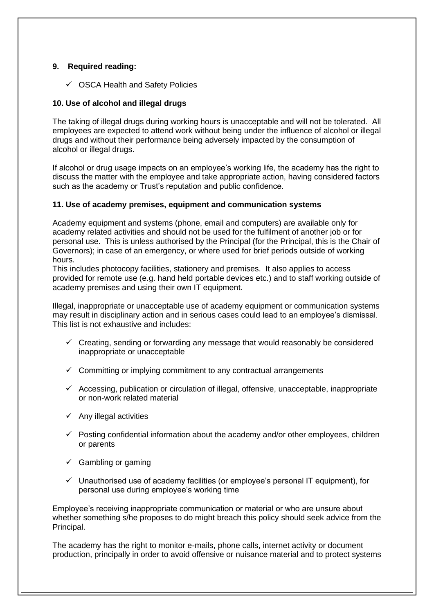# **9. Required reading:**

✓ OSCA Health and Safety Policies

# **10. Use of alcohol and illegal drugs**

The taking of illegal drugs during working hours is unacceptable and will not be tolerated. All employees are expected to attend work without being under the influence of alcohol or illegal drugs and without their performance being adversely impacted by the consumption of alcohol or illegal drugs.

If alcohol or drug usage impacts on an employee's working life, the academy has the right to discuss the matter with the employee and take appropriate action, having considered factors such as the academy or Trust's reputation and public confidence.

# **11. Use of academy premises, equipment and communication systems**

Academy equipment and systems (phone, email and computers) are available only for academy related activities and should not be used for the fulfilment of another job or for personal use. This is unless authorised by the Principal (for the Principal, this is the Chair of Governors); in case of an emergency, or where used for brief periods outside of working hours.

This includes photocopy facilities, stationery and premises. It also applies to access provided for remote use (e.g. hand held portable devices etc.) and to staff working outside of academy premises and using their own IT equipment.

Illegal, inappropriate or unacceptable use of academy equipment or communication systems may result in disciplinary action and in serious cases could lead to an employee's dismissal. This list is not exhaustive and includes:

- $\checkmark$  Creating, sending or forwarding any message that would reasonably be considered inappropriate or unacceptable
- $\checkmark$  Committing or implying commitment to any contractual arrangements
- $\checkmark$  Accessing, publication or circulation of illegal, offensive, unacceptable, inappropriate or non-work related material
- $\checkmark$  Any illegal activities
- $\checkmark$  Posting confidential information about the academy and/or other employees, children or parents
- $\checkmark$  Gambling or gaming
- $\checkmark$  Unauthorised use of academy facilities (or employee's personal IT equipment), for personal use during employee's working time

Employee's receiving inappropriate communication or material or who are unsure about whether something s/he proposes to do might breach this policy should seek advice from the Principal.

The academy has the right to monitor e-mails, phone calls, internet activity or document production, principally in order to avoid offensive or nuisance material and to protect systems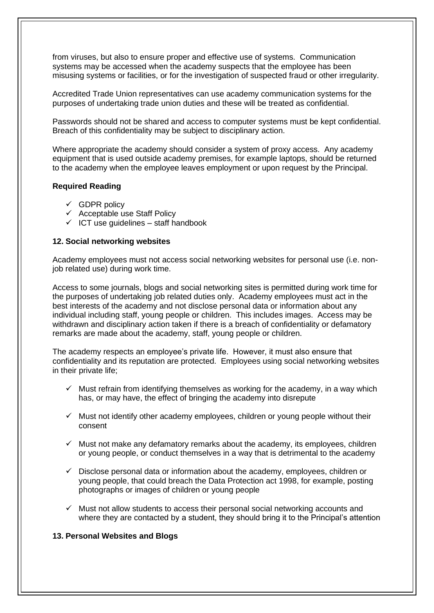from viruses, but also to ensure proper and effective use of systems. Communication systems may be accessed when the academy suspects that the employee has been misusing systems or facilities, or for the investigation of suspected fraud or other irregularity.

Accredited Trade Union representatives can use academy communication systems for the purposes of undertaking trade union duties and these will be treated as confidential.

Passwords should not be shared and access to computer systems must be kept confidential. Breach of this confidentiality may be subject to disciplinary action.

Where appropriate the academy should consider a system of proxy access. Any academy equipment that is used outside academy premises, for example laptops, should be returned to the academy when the employee leaves employment or upon request by the Principal.

#### **Required Reading**

- $\checkmark$  GDPR policy
- $\checkmark$  Acceptable use Staff Policy
- $\checkmark$  ICT use guidelines staff handbook

#### **12. Social networking websites**

Academy employees must not access social networking websites for personal use (i.e. nonjob related use) during work time.

Access to some journals, blogs and social networking sites is permitted during work time for the purposes of undertaking job related duties only. Academy employees must act in the best interests of the academy and not disclose personal data or information about any individual including staff, young people or children. This includes images. Access may be withdrawn and disciplinary action taken if there is a breach of confidentiality or defamatory remarks are made about the academy, staff, young people or children.

The academy respects an employee's private life. However, it must also ensure that confidentiality and its reputation are protected. Employees using social networking websites in their private life;

- $\checkmark$  Must refrain from identifying themselves as working for the academy, in a way which has, or may have, the effect of bringing the academy into disrepute
- $\checkmark$  Must not identify other academy employees, children or young people without their consent
- $\checkmark$  Must not make any defamatory remarks about the academy, its employees, children or young people, or conduct themselves in a way that is detrimental to the academy
- $\checkmark$  Disclose personal data or information about the academy, employees, children or young people, that could breach the Data Protection act 1998, for example, posting photographs or images of children or young people
- $\checkmark$  Must not allow students to access their personal social networking accounts and where they are contacted by a student, they should bring it to the Principal's attention

# **13. Personal Websites and Blogs**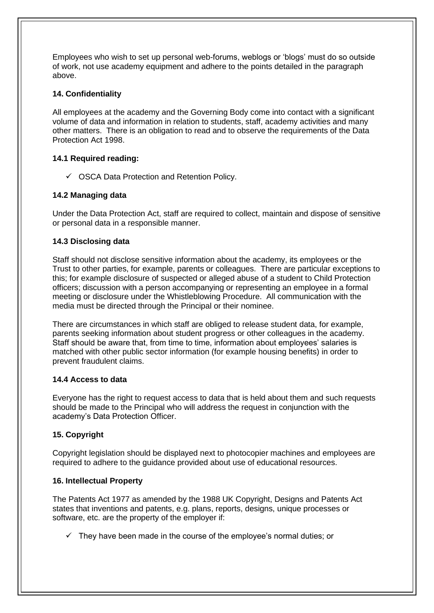Employees who wish to set up personal web-forums, weblogs or 'blogs' must do so outside of work, not use academy equipment and adhere to the points detailed in the paragraph above.

# **14. Confidentiality**

All employees at the academy and the Governing Body come into contact with a significant volume of data and information in relation to students, staff, academy activities and many other matters. There is an obligation to read and to observe the requirements of the Data Protection Act 1998.

# **14.1 Required reading:**

✓ OSCA Data Protection and Retention Policy.

# **14.2 Managing data**

Under the Data Protection Act, staff are required to collect, maintain and dispose of sensitive or personal data in a responsible manner.

# **14.3 Disclosing data**

Staff should not disclose sensitive information about the academy, its employees or the Trust to other parties, for example, parents or colleagues. There are particular exceptions to this; for example disclosure of suspected or alleged abuse of a student to Child Protection officers; discussion with a person accompanying or representing an employee in a formal meeting or disclosure under the Whistleblowing Procedure. All communication with the media must be directed through the Principal or their nominee.

There are circumstances in which staff are obliged to release student data, for example, parents seeking information about student progress or other colleagues in the academy. Staff should be aware that, from time to time, information about employees' salaries is matched with other public sector information (for example housing benefits) in order to prevent fraudulent claims.

# **14.4 Access to data**

Everyone has the right to request access to data that is held about them and such requests should be made to the Principal who will address the request in conjunction with the academy's Data Protection Officer.

# **15. Copyright**

Copyright legislation should be displayed next to photocopier machines and employees are required to adhere to the guidance provided about use of educational resources.

# **16. Intellectual Property**

The Patents Act 1977 as amended by the 1988 UK Copyright, Designs and Patents Act states that inventions and patents, e.g. plans, reports, designs, unique processes or software, etc. are the property of the employer if:

 $\checkmark$  They have been made in the course of the employee's normal duties; or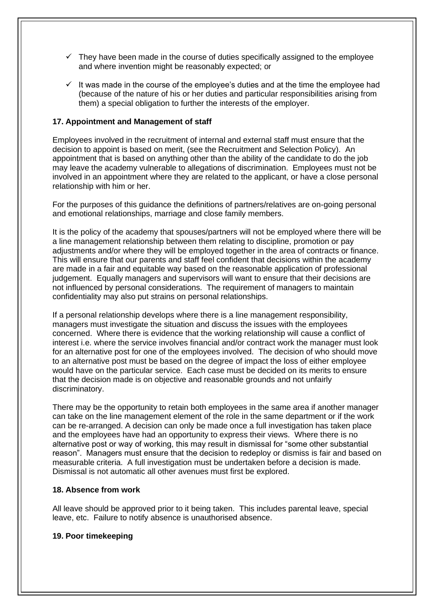- $\checkmark$  They have been made in the course of duties specifically assigned to the employee and where invention might be reasonably expected; or
- It was made in the course of the employee's duties and at the time the employee had (because of the nature of his or her duties and particular responsibilities arising from them) a special obligation to further the interests of the employer.

### **17. Appointment and Management of staff**

Employees involved in the recruitment of internal and external staff must ensure that the decision to appoint is based on merit, (see the Recruitment and Selection Policy). An appointment that is based on anything other than the ability of the candidate to do the job may leave the academy vulnerable to allegations of discrimination. Employees must not be involved in an appointment where they are related to the applicant, or have a close personal relationship with him or her.

For the purposes of this guidance the definitions of partners/relatives are on-going personal and emotional relationships, marriage and close family members.

It is the policy of the academy that spouses/partners will not be employed where there will be a line management relationship between them relating to discipline, promotion or pay adjustments and/or where they will be employed together in the area of contracts or finance. This will ensure that our parents and staff feel confident that decisions within the academy are made in a fair and equitable way based on the reasonable application of professional judgement. Equally managers and supervisors will want to ensure that their decisions are not influenced by personal considerations. The requirement of managers to maintain confidentiality may also put strains on personal relationships.

If a personal relationship develops where there is a line management responsibility, managers must investigate the situation and discuss the issues with the employees concerned. Where there is evidence that the working relationship will cause a conflict of interest i.e. where the service involves financial and/or contract work the manager must look for an alternative post for one of the employees involved. The decision of who should move to an alternative post must be based on the degree of impact the loss of either employee would have on the particular service. Each case must be decided on its merits to ensure that the decision made is on objective and reasonable grounds and not unfairly discriminatory.

There may be the opportunity to retain both employees in the same area if another manager can take on the line management element of the role in the same department or if the work can be re-arranged. A decision can only be made once a full investigation has taken place and the employees have had an opportunity to express their views. Where there is no alternative post or way of working, this may result in dismissal for "some other substantial reason". Managers must ensure that the decision to redeploy or dismiss is fair and based on measurable criteria. A full investigation must be undertaken before a decision is made. Dismissal is not automatic all other avenues must first be explored.

#### **18. Absence from work**

All leave should be approved prior to it being taken. This includes parental leave, special leave, etc. Failure to notify absence is unauthorised absence.

#### **19. Poor timekeeping**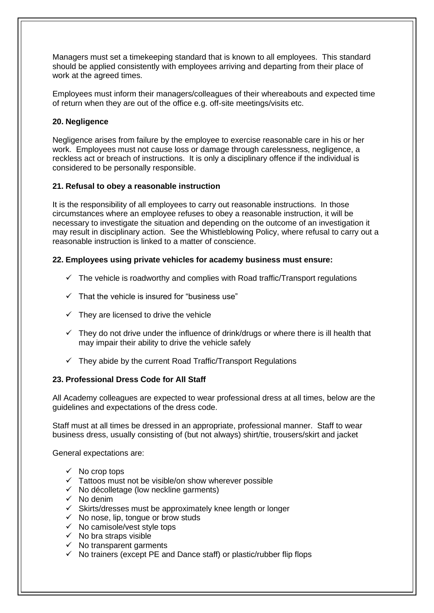Managers must set a timekeeping standard that is known to all employees. This standard should be applied consistently with employees arriving and departing from their place of work at the agreed times.

Employees must inform their managers/colleagues of their whereabouts and expected time of return when they are out of the office e.g. off-site meetings/visits etc.

# **20. Negligence**

Negligence arises from failure by the employee to exercise reasonable care in his or her work. Employees must not cause loss or damage through carelessness, negligence, a reckless act or breach of instructions. It is only a disciplinary offence if the individual is considered to be personally responsible.

# **21. Refusal to obey a reasonable instruction**

It is the responsibility of all employees to carry out reasonable instructions. In those circumstances where an employee refuses to obey a reasonable instruction, it will be necessary to investigate the situation and depending on the outcome of an investigation it may result in disciplinary action. See the Whistleblowing Policy, where refusal to carry out a reasonable instruction is linked to a matter of conscience.

#### **22. Employees using private vehicles for academy business must ensure:**

- $\checkmark$  The vehicle is roadworthy and complies with Road traffic/Transport regulations
- $\checkmark$  That the vehicle is insured for "business use"
- $\checkmark$  They are licensed to drive the vehicle
- $\checkmark$  They do not drive under the influence of drink/drugs or where there is ill health that may impair their ability to drive the vehicle safely
- $\checkmark$  They abide by the current Road Traffic/Transport Regulations

# **23. Professional Dress Code for All Staff**

All Academy colleagues are expected to wear professional dress at all times, below are the guidelines and expectations of the dress code.

Staff must at all times be dressed in an appropriate, professional manner. Staff to wear business dress, usually consisting of (but not always) shirt/tie, trousers/skirt and jacket

General expectations are:

- $\checkmark$  No crop tops
- $\checkmark$  Tattoos must not be visible/on show wherever possible
- $\checkmark$  No décolletage (low neckline garments)
- ✓ No denim
- $\checkmark$  Skirts/dresses must be approximately knee length or longer
- $\checkmark$  No nose, lip, tongue or brow studs
- $\checkmark$  No camisole/vest style tops
- $\checkmark$  No bra straps visible
- $\checkmark$  No transparent garments
- ✓ No trainers (except PE and Dance staff) or plastic/rubber flip flops